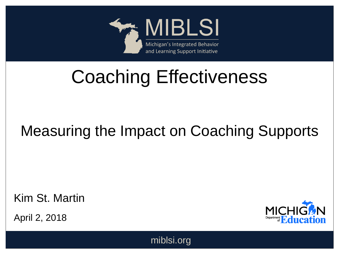

# Coaching Effectiveness

#### Measuring the Impact on Coaching Supports

Kim St. Martin

April 2, 2018



miblsi.org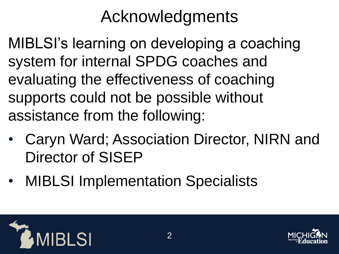## Acknowledgments

MIBLSI's learning on developing a coaching system for internal SPDG coaches and evaluating the effectiveness of coaching supports could not be possible without assistance from the following:

- Caryn Ward; Association Director, NIRN and Director of SISEP
- MIBLSI Implementation Specialists

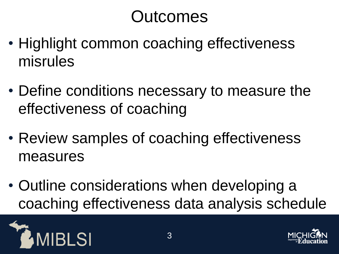## **Outcomes**

- Highlight common coaching effectiveness misrules
- Define conditions necessary to measure the effectiveness of coaching
- Review samples of coaching effectiveness measures
- Outline considerations when developing a coaching effectiveness data analysis schedule



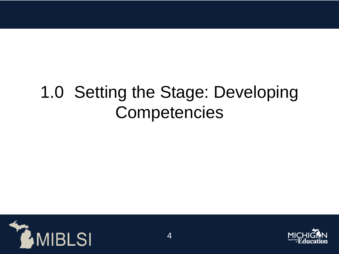## 1.0 Setting the Stage: Developing **Competencies**

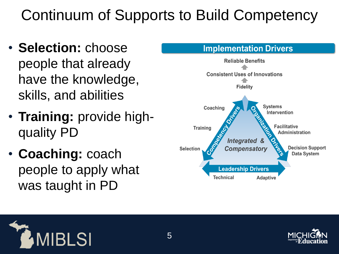#### Continuum of Supports to Build Competency

- **Selection:** choose people that already have the knowledge, skills, and abilities
- **Training:** provide highquality PD
- **Coaching:** coach people to apply what was taught in PD





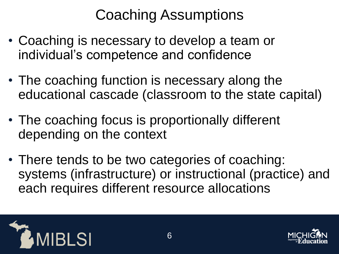#### Coaching Assumptions

- Coaching is necessary to develop a team or individual's competence and confidence
- The coaching function is necessary along the educational cascade (classroom to the state capital)
- The coaching focus is proportionally different depending on the context
- There tends to be two categories of coaching: systems (infrastructure) or instructional (practice) and each requires different resource allocations



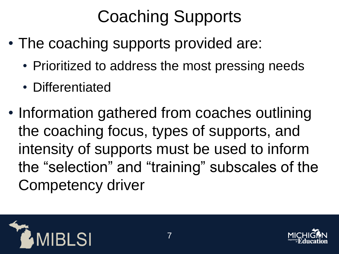# Coaching Supports

- The coaching supports provided are:
	- Prioritized to address the most pressing needs
	- Differentiated
- Information gathered from coaches outlining the coaching focus, types of supports, and intensity of supports must be used to inform the "selection" and "training" subscales of the Competency driver



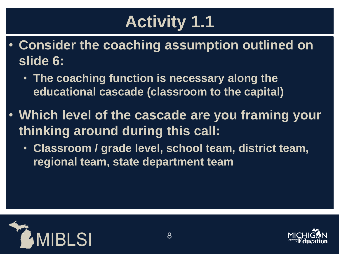# **Activity 1.1**

- **Consider the coaching assumption outlined on slide 6:**
	- **The coaching function is necessary along the educational cascade (classroom to the capital)**
- **Which level of the cascade are you framing your thinking around during this call:**
	- **Classroom / grade level, school team, district team, regional team, state department team**



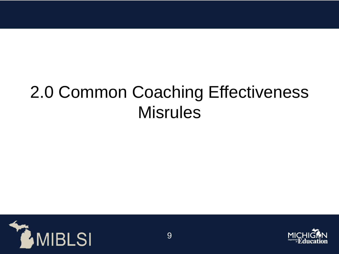## 2.0 Common Coaching Effectiveness **Misrules**



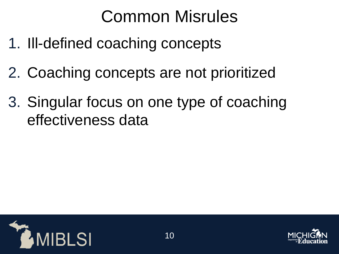## Common Misrules

- 1. Ill-defined coaching concepts
- 2. Coaching concepts are not prioritized
- 3. Singular focus on one type of coaching effectiveness data



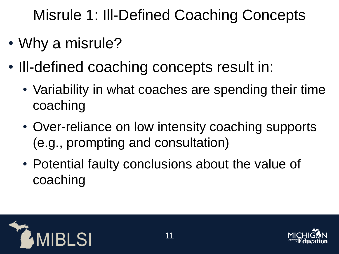Misrule 1: Ill-Defined Coaching Concepts

- Why a misrule?
- III-defined coaching concepts result in:
	- Variability in what coaches are spending their time coaching
	- Over-reliance on low intensity coaching supports (e.g., prompting and consultation)
	- Potential faulty conclusions about the value of coaching



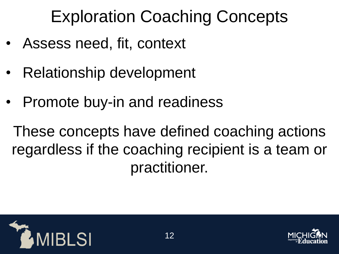# Exploration Coaching Concepts

- Assess need, fit, context
- Relationship development
- Promote buy-in and readiness

These concepts have defined coaching actions regardless if the coaching recipient is a team or practitioner.



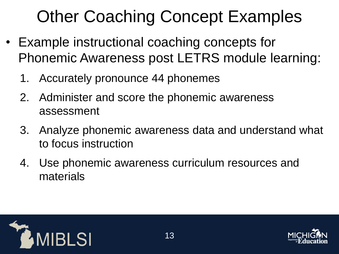# Other Coaching Concept Examples

- Example instructional coaching concepts for Phonemic Awareness post LETRS module learning:
	- 1. Accurately pronounce 44 phonemes
	- 2. Administer and score the phonemic awareness assessment
	- 3. Analyze phonemic awareness data and understand what to focus instruction
	- 4. Use phonemic awareness curriculum resources and materials



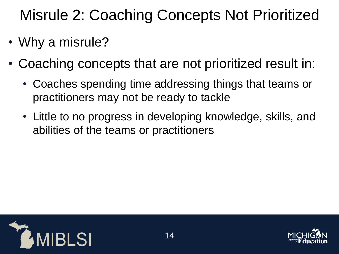#### Misrule 2: Coaching Concepts Not Prioritized

- Why a misrule?
- Coaching concepts that are not prioritized result in:
	- Coaches spending time addressing things that teams or practitioners may not be ready to tackle
	- Little to no progress in developing knowledge, skills, and abilities of the teams or practitioners



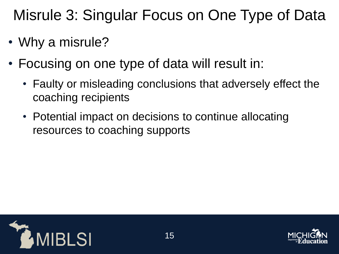Misrule 3: Singular Focus on One Type of Data

- Why a misrule?
- Focusing on one type of data will result in:
	- Faulty or misleading conclusions that adversely effect the coaching recipients
	- Potential impact on decisions to continue allocating resources to coaching supports



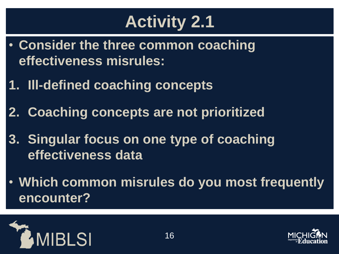## **Activity 2.1**

- **Consider the three common coaching effectiveness misrules:**
- **1. Ill-defined coaching concepts**
- **2. Coaching concepts are not prioritized**
- **3. Singular focus on one type of coaching effectiveness data**
- **Which common misrules do you most frequently encounter?**



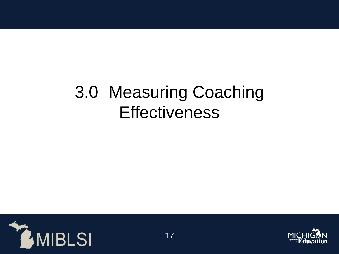## 3.0 Measuring Coaching **Effectiveness**



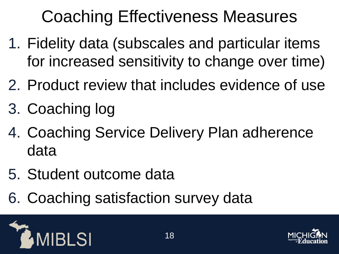# Coaching Effectiveness Measures

- 1. Fidelity data (subscales and particular items for increased sensitivity to change over time)
- 2. Product review that includes evidence of use
- 3. Coaching log
- 4. Coaching Service Delivery Plan adherence data
- 5. Student outcome data
- 6. Coaching satisfaction survey data



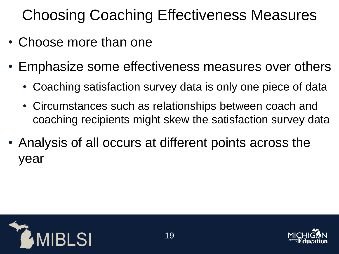### Choosing Coaching Effectiveness Measures

- Choose more than one
- Emphasize some effectiveness measures over others
	- Coaching satisfaction survey data is only one piece of data
	- Circumstances such as relationships between coach and coaching recipients might skew the satisfaction survey data
- Analysis of all occurs at different points across the year



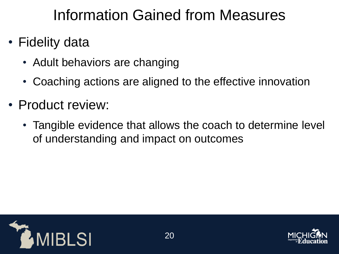#### Information Gained from Measures

- Fidelity data
	- Adult behaviors are changing
	- Coaching actions are aligned to the effective innovation
- Product review:
	- Tangible evidence that allows the coach to determine level of understanding and impact on outcomes



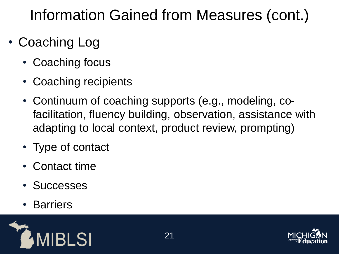#### Information Gained from Measures (cont.)

- Coaching Log
	- Coaching focus
	- Coaching recipients
	- Continuum of coaching supports (e.g., modeling, cofacilitation, fluency building, observation, assistance with adapting to local context, product review, prompting)
	- Type of contact
	- Contact time
	- Successes
	- **Barriers**



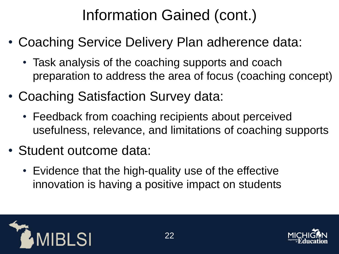### Information Gained (cont.)

- Coaching Service Delivery Plan adherence data:
	- Task analysis of the coaching supports and coach preparation to address the area of focus (coaching concept)
- Coaching Satisfaction Survey data:
	- Feedback from coaching recipients about perceived usefulness, relevance, and limitations of coaching supports
- Student outcome data:
	- Evidence that the high-quality use of the effective innovation is having a positive impact on students



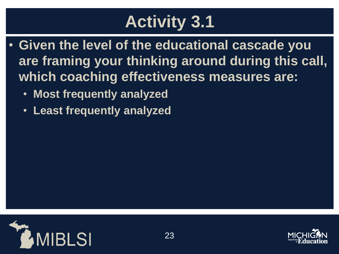# **Activity 3.1**

- **Given the level of the educational cascade you are framing your thinking around during this call, which coaching effectiveness measures are:**
	- **Most frequently analyzed**
	- **Least frequently analyzed**



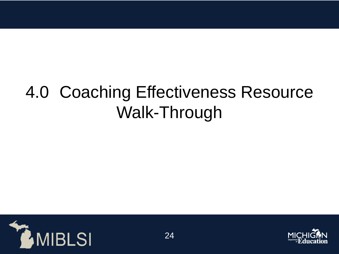## 4.0 Coaching Effectiveness Resource Walk-Through



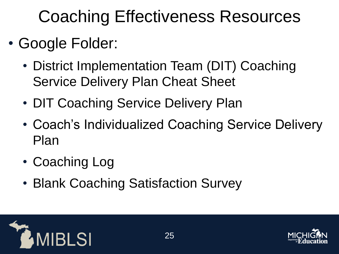## Coaching Effectiveness Resources

- Google Folder:
	- District Implementation Team (DIT) Coaching Service Delivery Plan Cheat Sheet
	- DIT Coaching Service Delivery Plan
	- Coach's Individualized Coaching Service Delivery Plan
	- Coaching Log
	- Blank Coaching Satisfaction Survey



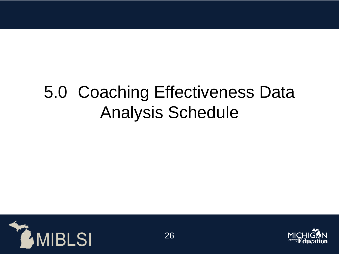## 5.0 Coaching Effectiveness Data Analysis Schedule



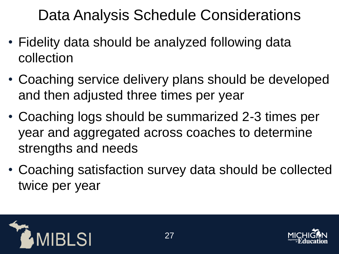Data Analysis Schedule Considerations

- Fidelity data should be analyzed following data collection
- Coaching service delivery plans should be developed and then adjusted three times per year
- Coaching logs should be summarized 2-3 times per year and aggregated across coaches to determine strengths and needs
- Coaching satisfaction survey data should be collected twice per year



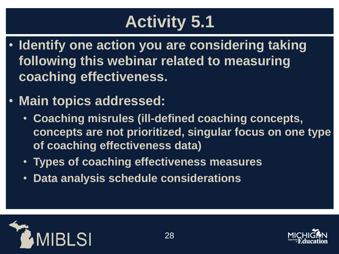# **Activity 5.1**

- **Identify one action you are considering taking following this webinar related to measuring coaching effectiveness.**
- **Main topics addressed:**
	- **Coaching misrules (ill-defined coaching concepts, concepts are not prioritized, singular focus on one type of coaching effectiveness data)**
	- **Types of coaching effectiveness measures**
	- **Data analysis schedule considerations**